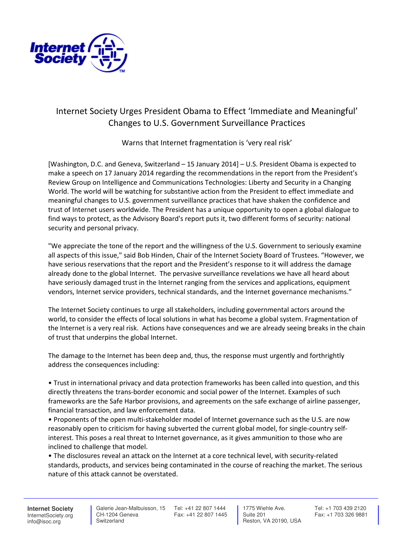

## Internet Society Urges President Obama to Effect 'Immediate and Meaningful' Changes to U.S. Government Surveillance Practices

Warns that Internet fragmentation is 'very real risk'

[Washington, D.C. and Geneva, Switzerland – 15 January 2014] – U.S. President Obama is expected to make a speech on 17 January 2014 regarding the recommendations in the report from the President's Review Group on Intelligence and Communications Technologies: Liberty and Security in a Changing World. The world will be watching for substantive action from the President to effect immediate and meaningful changes to U.S. government surveillance practices that have shaken the confidence and trust of Internet users worldwide. The President has a unique opportunity to open a global dialogue to find ways to protect, as the Advisory Board's report puts it, two different forms of security: national security and personal privacy.

"We appreciate the tone of the report and the willingness of the U.S. Government to seriously examine all aspects of this issue," said Bob Hinden, Chair of the Internet Society Board of Trustees. "However, we have serious reservations that the report and the President's response to it will address the damage already done to the global Internet. The pervasive surveillance revelations we have all heard about have seriously damaged trust in the Internet ranging from the services and applications, equipment vendors, Internet service providers, technical standards, and the Internet governance mechanisms."

The Internet Society continues to urge all stakeholders, including governmental actors around the world, to consider the effects of local solutions in what has become a global system. Fragmentation of the Internet is a very real risk. Actions have consequences and we are already seeing breaks in the chain of trust that underpins the global Internet.

The damage to the Internet has been deep and, thus, the response must urgently and forthrightly address the consequences including:

• Trust in international privacy and data protection frameworks has been called into question, and this directly threatens the trans-border economic and social power of the Internet. Examples of such frameworks are the Safe Harbor provisions, and agreements on the safe exchange of airline passenger, financial transaction, and law enforcement data.

• Proponents of the open multi-stakeholder model of Internet governance such as the U.S. are now reasonably open to criticism for having subverted the current global model, for single-country selfinterest. This poses a real threat to Internet governance, as it gives ammunition to those who are inclined to challenge that model.

• The disclosures reveal an attack on the Internet at a core technical level, with security-related standards, products, and services being contaminated in the course of reaching the market. The serious nature of this attack cannot be overstated.

**Internet Society** InternetSociety.org info@isoc.org

 Galerie Jean-Malbuisson, 15 Tel: +41 22 807 1444 CH-1204 Geneva **Switzerland** 

Fax: +41 22 807 1445

 1775 Wiehle Ave. Suite 201 Reston, VA 20190, USA Tel: +1 703 439 2120 Fax: +1 703 326 9881